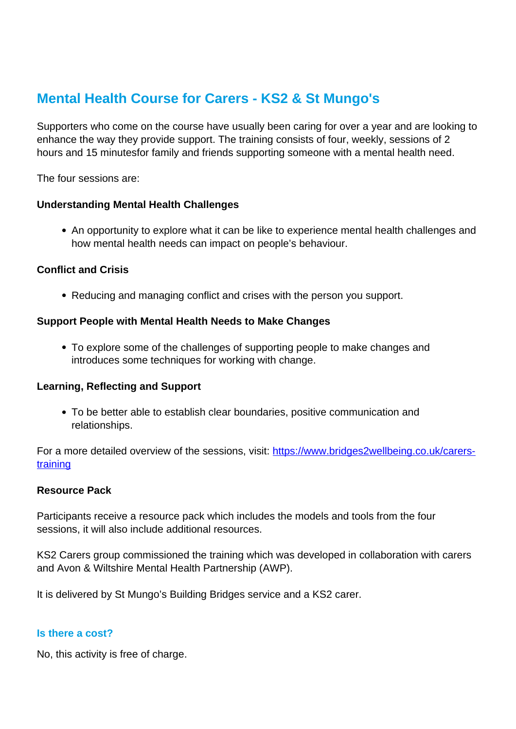# **Mental Health Course for Carers - KS2 & St Mungo's**

Supporters who come on the course have usually been caring for over a year and are looking to enhance the way they provide support. The training consists of four, weekly, sessions of 2 hours and 15 minutesfor family and friends supporting someone with a mental health need.

The four sessions are:

#### **Understanding Mental Health Challenges**

An opportunity to explore what it can be like to experience mental health challenges and how mental health needs can impact on people's behaviour.

### **Conflict and Crisis**

Reducing and managing conflict and crises with the person you support.

#### **Support People with Mental Health Needs to Make Changes**

To explore some of the challenges of supporting people to make changes and introduces some techniques for working with change.

#### **Learning, Reflecting and Support**

To be better able to establish clear boundaries, positive communication and relationships.

For a more detailed overview of the sessions, visit: [https://www.bridges2wellbeing.co.uk/carers](https://www.bridges2wellbeing.co.uk/carers-training)[training](https://www.bridges2wellbeing.co.uk/carers-training)

#### **Resource Pack**

Participants receive a resource pack which includes the models and tools from the four sessions, it will also include additional resources.

KS2 Carers group commissioned the training which was developed in collaboration with carers and Avon & Wiltshire Mental Health Partnership (AWP).

It is delivered by St Mungo's Building Bridges service and a KS2 carer.

#### **Is there a cost?**

No, this activity is free of charge.